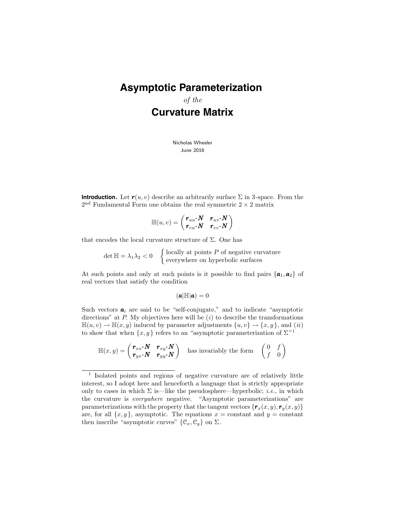# **Asymptotic Parameterization**

of the **Curvature Matrix**

> Nicholas Wheeler June 2016

**Introduction.** Let  $r(u, v)$  describe an arbitrarily surface  $\Sigma$  in 3-space. From the  $2<sup>nd</sup>$  Fundamental Form one obtains the real symmetric  $2 \times 2$  matrix

$$
\mathbb{H}(u,v)=\begin{pmatrix}\bm{r}_{uu}\bm{\cdot}\bm{N}&\bm{r}_{uv}\bm{\cdot}\bm{N}\\\bm{r}_{vu}\bm{\cdot}\bm{N}&\bm{r}_{vv}\bm{\cdot}\bm{N}\end{pmatrix}
$$

that encodes the local curvature structure of  $\Sigma$ . One has

 $\det \mathbb{H} = \lambda_1 \lambda_2 < 0$   $\left\{ \begin{array}{c} \text{locally at points } P \text{ of negative curvature} \\ \text{corresponding surfaces} \end{array} \right.$ everywhere on hyperbolic surfaces

At such points and only at such points is it possible to find pairs  $\{a_1, a_2\}$  of real vectors that satisfy the condition

$$
(\mathbf{a}|\mathbb{H}|\mathbf{a})=0
$$

Such vectors  $a_i$  are said to be "self-conjugate," and to indicate "asymptotic directions" at  $P$ . My objectives here will be  $(i)$  to describe the transformations  $\mathbb{H}(u, v) \to \mathbb{H}(x, y)$  induced by parameter adjustments  $\{u, v\} \to \{x, y\}$ , and  $(ii)$ to show that when  $\{x, y\}$  refers to an "asymptotic parameterization of  $\Sigma^{n}$ <sup>1</sup>

$$
\mathbb{H}(x,y) = \begin{pmatrix} \mathbf{r}_{xx} \cdot \mathbf{N} & \mathbf{r}_{xy} \cdot \mathbf{N} \\ \mathbf{r}_{yx} \cdot \mathbf{N} & \mathbf{r}_{yy} \cdot \mathbf{N} \end{pmatrix}
$$
 has invariably the form  $\begin{pmatrix} 0 & f \\ f & 0 \end{pmatrix}$ 

<sup>1</sup> Isolated points and regions of negative curvature are of relatively little interest, so I adopt here and henceforth a language that is strictly appropriate only to cases in which  $\Sigma$  is—like the pseudosphere—hyperbolic; *i.e.*, in which the curvature is everywhere negative. "Asymptotic parameterizations" are parameterizations with the property that the tangent vectors  ${r_x(x, y), r_y(x, y)}$ are, for all  $\{x, y\}$ , asymptotic. The equations  $x = constant$  and  $y = constant$ then inscribe "asymptotic curves"  $\{\mathcal{C}_x, \mathcal{C}_y\}$  on  $\Sigma$ .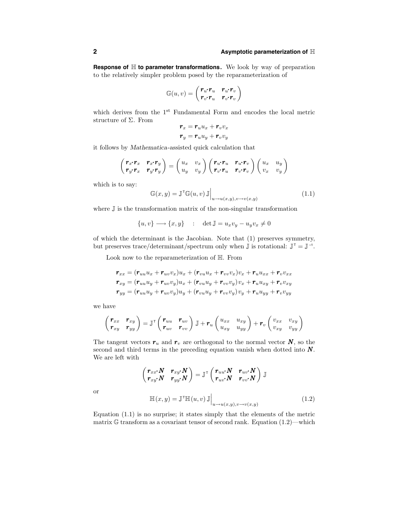**Response of** H **to parameter transformations.** We look by way of preparation to the relatively simpler problem posed by the reparameterization of

$$
\mathbb{G}(u,v) = \begin{pmatrix} \boldsymbol{r}_u \boldsymbol{\cdot} \boldsymbol{r}_u & \boldsymbol{r}_u \boldsymbol{\cdot} \boldsymbol{r}_v \\ \boldsymbol{r}_v \boldsymbol{\cdot} \boldsymbol{r}_u & \boldsymbol{r}_v \boldsymbol{\cdot} \boldsymbol{r}_v \end{pmatrix}
$$

which derives from the 1<sup>st</sup> Fundamental Form and encodes the local metric structure of  $\Sigma$ . From

$$
\begin{aligned} \boldsymbol{r}_x &= \boldsymbol{r}_u u_x + \boldsymbol{r}_v v_x \\ \boldsymbol{r}_y &= \boldsymbol{r}_u u_y + \boldsymbol{r}_v v_y \end{aligned}
$$

it follows by Mathematica-assisted quick calculation that

$$
\begin{pmatrix} \boldsymbol{r}_x \boldsymbol{\cdot} \boldsymbol{r}_x & \boldsymbol{r}_x \boldsymbol{\cdot} \boldsymbol{r}_y \\ \boldsymbol{r}_y \boldsymbol{\cdot} \boldsymbol{r}_x & \boldsymbol{r}_y \boldsymbol{\cdot} \boldsymbol{r}_y \end{pmatrix} = \begin{pmatrix} u_x & v_x \\ u_y & v_y \end{pmatrix} \begin{pmatrix} \boldsymbol{r}_u \boldsymbol{\cdot} \boldsymbol{r}_u & \boldsymbol{r}_u \boldsymbol{\cdot} \boldsymbol{r}_v \\ \boldsymbol{r}_v \boldsymbol{\cdot} \boldsymbol{r}_u & \boldsymbol{r}_v \boldsymbol{\cdot} \boldsymbol{r}_v \end{pmatrix} \begin{pmatrix} u_x & u_y \\ v_x & v_y \end{pmatrix}
$$

which is to say:

$$
\mathbb{G}(x,y) = \mathbb{J}^{\mathsf{T}}\mathbb{G}(u,v) \mathbb{J}\Big|_{u \to u(x,y), v \to v(x,y)}
$$
(1.1)

where  $\mathbb J$  is the transformation matrix of the non-singular transformation

$$
\{u, v\} \longrightarrow \{x, y\} \quad : \quad \det \mathbb{J} = u_x v_y - u_y v_x \neq 0
$$

of which the determinant is the Jacobian. Note that (1) preserves symmetry, but preserves trace/determinant/spectrum only when  $\mathbb{J}$  is rotational:  $\mathbb{J}^{\top} = \mathbb{J}^{-1}$ .

Look now to the reparameterization of H. From

$$
\begin{aligned} \boldsymbol{r}_{xx} &= (\boldsymbol{r}_{uu}u_x + \boldsymbol{r}_{uv}v_x)u_x + (\boldsymbol{r}_{vu}u_x + \boldsymbol{r}_{vv}v_x)v_x + \boldsymbol{r}_uu_{xx} + \boldsymbol{r}_vv_{xx} \\ \boldsymbol{r}_{xy} &= (\boldsymbol{r}_{uu}u_y + \boldsymbol{r}_{uv}v_y)u_x + (\boldsymbol{r}_{vu}u_y + \boldsymbol{r}_{vv}v_y)v_x + \boldsymbol{r}_uu_{xy} + \boldsymbol{r}_vv_{xy} \\ \boldsymbol{r}_{yy} &= (\boldsymbol{r}_{uu}u_y + \boldsymbol{r}_{uv}v_y)u_y + (\boldsymbol{r}_{vu}u_y + \boldsymbol{r}_{vv}v_y)v_y + \boldsymbol{r}_uu_{yy} + \boldsymbol{r}_vv_{yy} \end{aligned}
$$

we have

$$
\begin{pmatrix} \boldsymbol{r}_{xx} & \boldsymbol{r}_{xy} \\ \boldsymbol{r}_{xy} & \boldsymbol{r}_{yy} \end{pmatrix} = \mathbb{J}^{\mathsf{T}} \begin{pmatrix} \boldsymbol{r}_{uu} & \boldsymbol{r}_{uv} \\ \boldsymbol{r}_{uv} & \boldsymbol{r}_{vv} \end{pmatrix} \mathbb{J} + \boldsymbol{r}_{u} \begin{pmatrix} u_{xx} & u_{xy} \\ u_{xy} & u_{yy} \end{pmatrix} + \boldsymbol{r}_{v} \begin{pmatrix} v_{xx} & v_{xy} \\ v_{xy} & v_{yy} \end{pmatrix}
$$

The tangent vectors  $r_u$  and  $r_v$  are orthogonal to the normal vector  $N$ , so the second and third terms in the preceding equation vanish when dotted into  $N$ . We are left with

$$
\begin{pmatrix} \bm{r}_{xx} {\boldsymbol{\cdot}} \bm{N} & \bm{r}_{xy} {\boldsymbol{\cdot}} \bm{N} \\ \bm{r}_{xy} {\boldsymbol{\cdot}} \bm{N} & \bm{r}_{yy} {\boldsymbol{\cdot}} \bm{N} \end{pmatrix} = \mathbb{J}^\intercal \begin{pmatrix} \bm{r}_{uu} {\boldsymbol{\cdot}} \bm{N} & \bm{r}_{uv} {\boldsymbol{\cdot}} \bm{N} \\ \bm{r}_{uv} {\boldsymbol{\cdot}} \bm{N} & \bm{r}_{vv} {\boldsymbol{\cdot}} \bm{N} \end{pmatrix} \mathbb{J}
$$

or

$$
\mathbb{H}(x,y) = \mathbb{J}^{\mathsf{T}}\mathbb{H}(u,v) \mathbb{J}\Big|_{u \to u(x,y), v \to v(x,y)}
$$
(1.2)

Equation (1.1) is no surprise; it states simply that the elements of the metric matrix  $\mathbb G$  transform as a covariant tensor of second rank. Equation (1.2)—which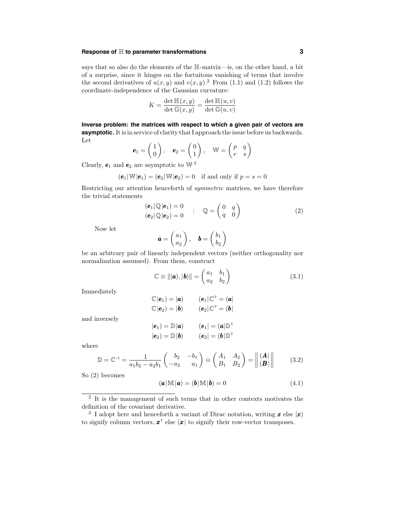## **Response of** H **to parameter transformations 3**

says that so also do the elements of the H-matrix—is, on the other hand, a bit of a surprise, since it hinges on the fortuitous vanishing of terms that involve the second derivatives of  $u(x, y)$  and  $v(x, y)$ .<sup>2</sup> From (1.1) and (1.2) follows the coordinate-independence of the Gaussian curvature:

$$
K = \frac{\det \mathbb{H}(x, y)}{\det \mathbb{G}(x, y)} = \frac{\det \mathbb{H}(u, v)}{\det \mathbb{G}(u, v)}
$$

**Inverse problem: the matrices with respect to which a given pair of vectors are asymptotic.** It is in service of clarity that I approach the issue before us backwards. Let

$$
\boldsymbol{e}_1 = \begin{pmatrix} 1 \\ 0 \end{pmatrix}, \quad \boldsymbol{e}_2 = \begin{pmatrix} 0 \\ 1 \end{pmatrix}, \quad \mathbb{W} = \begin{pmatrix} p & q \\ r & s \end{pmatrix}
$$

Clearly,  $e_1$  and  $e_2$  are asymptotic to W<sup>3</sup>

$$
(\mathbf{e}_1|\mathbb{W}|\mathbf{e}_1) = (\mathbf{e}_2|\mathbb{W}|\mathbf{e}_2) = 0 \text{ if and only if } p = s = 0
$$

Restricting our attention henceforth of symmetric matrices, we have therefore the trivial statements

$$
\begin{array}{ll}\n\left(\mathbf{e}_1|\mathbb{Q}|\mathbf{e}_1\right) = 0 \\
\left(\mathbf{e}_2|\mathbb{Q}|\mathbf{e}_2\right) = 0\n\end{array} ; \quad \mathbb{Q} = \begin{pmatrix} 0 & q \\ q & 0 \end{pmatrix} \tag{2}
$$

Now let

$$
\mathbf{a} = \begin{pmatrix} a_1 \\ a_2 \end{pmatrix}, \quad \mathbf{b} = \begin{pmatrix} b_1 \\ b_2 \end{pmatrix}
$$

be an arbitrary pair of linearly independent vectors (neither orthogonality nor normalization assumed). From them, construct

$$
\mathbb{C} \equiv |||\boldsymbol{a}\rangle, |\boldsymbol{b}\rangle|| = \begin{pmatrix} a_1 & b_1 \\ a_2 & b_2 \end{pmatrix}
$$
 (3.1)

 $(e_1|\mathbb{C}^{\top} = (a|$  $(e_2|\mathbb{C}^{\mathsf{T}}=({\boldsymbol{b}}))$ 

Immediately

| and inversely |  |
|---------------|--|

$$
|\mathbf{e}_1\rangle = \mathbb{D}|\mathbf{a}\rangle \qquad (\mathbf{e}_1| = (\mathbf{a}|\mathbb{D}^\top)\\ |\mathbf{e}_2\rangle = \mathbb{D}|\mathbf{b}\rangle \qquad (\mathbf{e}_2| = (\mathbf{b}|\mathbb{D}^\top)
$$

 $\mathbb{C}|\boldsymbol{e}_1) = |\boldsymbol{a}|$  $\mathbb{C}|\boldsymbol{e}_2) = |\boldsymbol{b}|$ 

where

$$
\mathbb{D} = \mathbb{C}^{-1} = \frac{1}{a_1 b_2 - a_2 b_1} \begin{pmatrix} b_2 & -b_1 \\ -a_2 & a_1 \end{pmatrix} \equiv \begin{pmatrix} A_1 & A_2 \\ B_1 & B_2 \end{pmatrix} = \begin{vmatrix} \vert \mathbf{A} \vert \\ \vert \mathbf{B} \vert \end{vmatrix} \tag{3.2}
$$

So (2) becomes

$$
(\mathbf{a}|\mathbb{M}|\mathbf{a}) = (\mathbf{b}|\mathbb{M}|\mathbf{b}) = 0 \tag{4.1}
$$

<sup>&</sup>lt;sup>2</sup> It is the management of such terms that in other contexts motivates the definition of the covariant derivative.

<sup>&</sup>lt;sup>3</sup> I adopt here and henceforth a variant of Dirac notation, writing **x** else |x) to signify column vectors,  $x^{\dagger}$  else  $(x | \text{ to signify their row-vector transposes.})$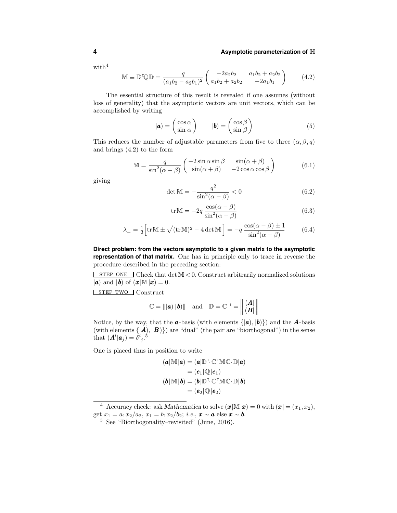### **4 Asymptotic parameterization of** H

with $4$ 

$$
\mathbb{M} \equiv \mathbb{D}^{\mathsf{T}} \mathbb{Q} \mathbb{D} = \frac{q}{(a_1 b_2 - a_2 b_1)^2} \begin{pmatrix} -2a_2 b_2 & a_1 b_2 + a_2 b_2 \\ a_1 b_2 + a_2 b_2 & -2a_1 b_1 \end{pmatrix}
$$
(4.2)

The essential structure of this result is revealed if one assumes (without loss of generality) that the asymptotic vectors are unit vectors, which can be accomplished by writing

$$
|\mathbf{a}) = \begin{pmatrix} \cos \alpha \\ \sin \alpha \end{pmatrix} \qquad |\mathbf{b}) = \begin{pmatrix} \cos \beta \\ \sin \beta \end{pmatrix} \tag{5}
$$

This reduces the number of adjustable parameters from five to three  $(\alpha, \beta, q)$ and brings (4.2) to the form

$$
\mathbb{M} = \frac{q}{\sin^2(\alpha - \beta)} \begin{pmatrix} -2\sin\alpha\sin\beta & \sin(\alpha + \beta) \\ \sin(\alpha + \beta) & -2\cos\alpha\cos\beta \end{pmatrix}
$$
(6.1)

giving

$$
\det \mathbb{M} = -\frac{q^2}{\sin^2(\alpha - \beta)} < 0 \tag{6.2}
$$

$$
\operatorname{tr}\mathbb{M} = -2q \frac{\cos(\alpha - \beta)}{\sin^2(\alpha - \beta)}
$$
(6.3)

$$
\lambda_{\pm} = \frac{1}{2} \left[ \text{tr} \mathbb{M} \pm \sqrt{(\text{tr} \mathbb{M})^2 - 4 \det \mathbb{M}} \right] = -q \, \frac{\cos(\alpha - \beta) \pm 1}{\sin^2(\alpha - \beta)} \tag{6.4}
$$

**Direct problem: from the vectors asymptotic to a given matrix to the asymptotic representation of that matrix.** One has in principle only to trace in reverse the procedure described in the preceding section:

STEP ONE Check that det  $M < 0$ . Construct arbitrarily normalized solutions  $|a|$  and  $|b|$  of  $(x|\mathbb{M}|x) = 0$ .

sTEP TWO Construct

$$
\mathbb{C} = |||a\rangle |b\rangle|| \quad \text{and} \quad \mathbb{D} = \mathbb{C}^{-1} = \left\| \begin{array}{c} (A| \\ (B| \\ \end{array} \right\|
$$

Notice, by the way, that the **a**-basis (with elements  $\{|\boldsymbol{a}|, |\boldsymbol{b}\rangle\}$ ) and the **A**-basis (with elements  $\{|\mathbf{A}\rangle, |\mathbf{B}\rangle\}$ ) are "dual" (the pair are "biorthogonal") in the sense that  $(\mathbf{A}^i|\mathbf{a}_j) = \delta^i{}_j$ .<sup>5</sup>

One is placed thus in position to write

$$
(a|\mathbb{M}|a) = (a|\mathbb{D}^\top \mathbb{C}^\top \mathbb{M} \mathbb{C} \cdot \mathbb{D}|a) = (e_1|\mathbb{Q}|e_1) (b|\mathbb{M}|b) = (b|\mathbb{D}^\top \mathbb{C}^\top \mathbb{M} \mathbb{C} \cdot \mathbb{D}|b) = (e_2|\mathbb{Q}|e_2)
$$

<sup>4</sup> Accuracy check: ask Mathematica to solve  $(\boldsymbol{x}|\mathbb{M}|\boldsymbol{x}) = 0$  with  $(\boldsymbol{x}| = (x_1, x_2),$ 

get  $x_1 = a_1x_2/a_2$ ,  $x_1 = b_1x_2/b_2$ ; *i.e.*,  $\mathbf{x} \sim \mathbf{a}$  else  $\mathbf{x} \sim \mathbf{b}$ .<br><sup>5</sup> See "Biorthogonality–revisited" (June, 2016).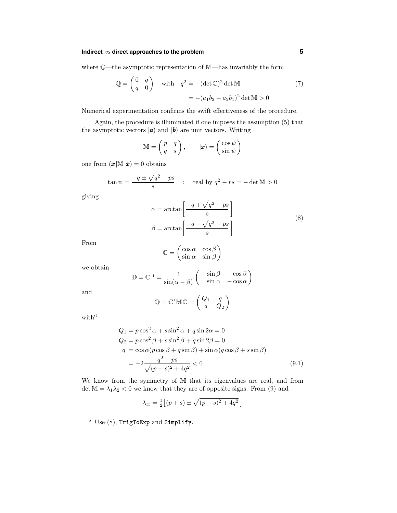# **Indirect** vs **direct approaches to the problem 5**

where Q—the asymptotic representation of M—has invariably the form

$$
\mathbb{Q} = \begin{pmatrix} 0 & q \\ q & 0 \end{pmatrix} \quad \text{with} \quad q^2 = -(\det \mathbb{C})^2 \det \mathbb{M} \tag{7}
$$
\n
$$
= -(a_1b_2 - a_2b_1)^2 \det \mathbb{M} > 0
$$

Numerical experimentation confirms the swift effectiveness of the procedure.

Again, the procedure is illuminated if one imposes the assumption (5) that the asymptotic vectors  $|\boldsymbol{a}|$  and  $|\boldsymbol{b}|$  are unit vectors. Writing

$$
\mathbb{M} = \begin{pmatrix} p & q \\ q & s \end{pmatrix}, \qquad |\pmb{x}) = \begin{pmatrix} \cos \psi \\ \sin \psi \end{pmatrix}
$$

one from  $(\boldsymbol{x}|\mathbb{M}|\boldsymbol{x}) = 0$  obtains

$$
\tan \psi = \frac{-q \pm \sqrt{q^2 - ps}}{s} \quad : \quad \text{real by } q^2 - rs = -\det \mathbb{M} > 0
$$

giving

$$
\alpha = \arctan\left[\frac{-q + \sqrt{q^2 - ps}}{s}\right]
$$

$$
\beta = \arctan\left[\frac{-q - \sqrt{q^2 - ps}}{s}\right]
$$
(8)

From

$$
\mathbb{C} = \begin{pmatrix} \cos \alpha & \cos \beta \\ \sin \alpha & \sin \beta \end{pmatrix}
$$

we obtain

$$
\mathbb{D} = \mathbb{C}^{-1} = \frac{1}{\sin(\alpha - \beta)} \begin{pmatrix} -\sin \beta & \cos \beta \\ \sin \alpha & -\cos \alpha \end{pmatrix}
$$

and

$$
\mathbb{Q} = \mathbb{C}^\mathsf{T} \mathbb{M} \mathbb{C} = \begin{pmatrix} Q_1 & q \\ q & Q_2 \end{pmatrix}
$$

with  $\!6$ 

$$
Q_1 = p\cos^2\alpha + s\sin^2\alpha + q\sin 2\alpha = 0
$$
  
\n
$$
Q_2 = p\cos^2\beta + s\sin^2\beta + q\sin 2\beta = 0
$$
  
\n
$$
q = \cos\alpha(p\cos\beta + q\sin\beta) + \sin\alpha(q\cos\beta + s\sin\beta)
$$
  
\n
$$
= -2\frac{q^2 - ps}{\sqrt{(p-s)^2 + 4q^2}} < 0
$$
\n(9.1)

We know from the symmetry of M that its eigenvalues are real, and from det  $M = \lambda_1 \lambda_2 < 0$  we know that they are of opposite signs. From (9) and

$$
\lambda_{\pm} = \frac{1}{2} \left[ (p+s) \pm \sqrt{(p-s)^2 + 4q^2} \right]
$$

 $6$  Use  $(8)$ , TrigToExp and Simplify.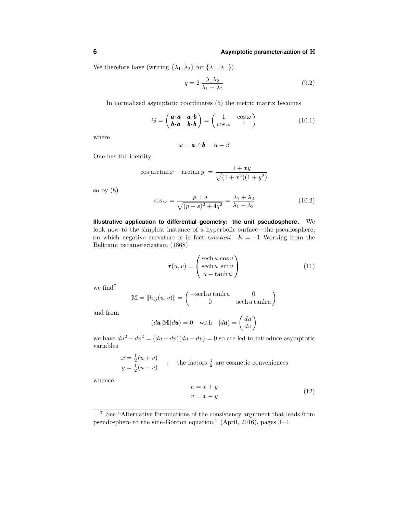We therefore have (writing  $\{\lambda_1, \lambda_2\}$  for  $\{\lambda_+, \lambda_-\}$ )

$$
q = 2 \frac{\lambda_1 \lambda_2}{\lambda_1 - \lambda_2} \tag{9.2}
$$

In normalized asymptotic coordinates (5) the metric matrix becomes

$$
\mathbb{G} = \begin{pmatrix} \mathbf{a} \cdot \mathbf{a} & \mathbf{a} \cdot \mathbf{b} \\ \mathbf{b} \cdot \mathbf{a} & \mathbf{b} \cdot \mathbf{b} \end{pmatrix} = \begin{pmatrix} 1 & \cos \omega \\ \cos \omega & 1 \end{pmatrix}
$$
(10.1)

where

$$
\omega = \boldsymbol{a} \angle \boldsymbol{b} = \alpha - \beta
$$

One has the identity

$$
\cos[\arctan x - \arctan y] = \frac{1+xy}{\sqrt{(1+x^2)(1+y^2)}}
$$

so by  $(8)$ 

$$
\cos \omega = \frac{p+s}{\sqrt{(p-s)^2 + 4q^2}} = \frac{\lambda_1 + \lambda_2}{\lambda_1 - \lambda_2}
$$
(10.2)

**Illustrative application to differential geometry: the unit pseudosphere.** We look now to the simplest instance of a hyperbolic surface—the pseudosphere, on which negative curvature is in fact *constant*:  $K = -1$  Working from the Beltrami parameterization (1868)

$$
\boldsymbol{r}(u,v) = \begin{pmatrix} \text{sech}\,u & \text{cos}\,v \\ \text{sech}\,u & \text{sin}\,v \\ u - \text{tanh}\,u \end{pmatrix} \tag{11}
$$

we find<sup>7</sup>

$$
\mathbb{M} = \|h_{ij}(u, v)\| = \begin{pmatrix} -\mathrm{sech}\,u\tanh u & 0\\ 0 & \mathrm{sech}\,u\tanh u \end{pmatrix}
$$

and from

$$
(d\mathbf{u}|\mathbb{M}|d\mathbf{u}) = 0 \quad \text{with} \quad |d\mathbf{u}) = \begin{pmatrix} du \\ dv \end{pmatrix}
$$

we have  $du^2 - dv^2 = (du + dv)(du - dv) = 0$  so are led to introduce asymptotic variables

> $x = \frac{1}{2}(u + v)$  $y = \frac{1}{2}(u - v)$  : the factors  $\frac{1}{2}$  are cosmetic conveniences

whence

$$
u = x + y
$$
  
\n
$$
v = x - y
$$
\n(12)

<sup>7</sup> See "Alternative formulations of the consistency argument that leads from pseudosphere to the sine-Gordon equation," (April, 2016), pages 3–4.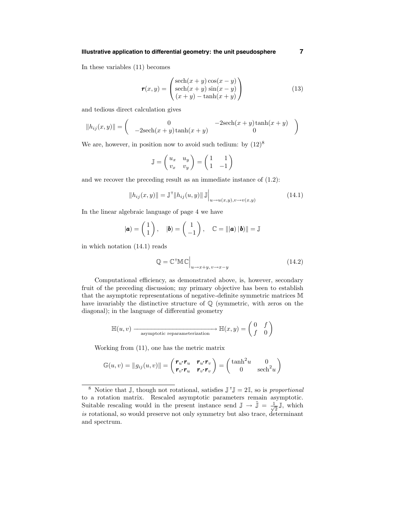## **Illustrative application to differential geometry: the unit pseudosphere 7**

In these variables (11) becomes

$$
\mathbf{r}(x,y) = \begin{pmatrix} \text{sech}(x+y)\cos(x-y) \\ \text{sech}(x+y)\sin(x-y) \\ (x+y) - \tanh(x+y) \end{pmatrix}
$$
(13)

and tedious direct calculation gives

$$
||h_{ij}(x,y)|| = \begin{pmatrix} 0 & -2\mathrm{sech}(x+y)\tanh(x+y) \\ -2\mathrm{sech}(x+y)\tanh(x+y) & 0 \end{pmatrix}
$$

We are, however, in position now to avoid such tedium: by  $(12)^8$ 

$$
\mathbb{J} = \begin{pmatrix} u_x & u_y \\ v_x & v_y \end{pmatrix} = \begin{pmatrix} 1 & 1 \\ 1 & -1 \end{pmatrix}
$$

and we recover the preceding result as an immediate instance of (1.2):

$$
||h_{ij}(x,y)|| = \mathbb{J}^{\mathsf{T}}||h_{ij}(u,y)||\mathbb{J}\Big|_{u \to u(x,y), v \to v(x,y)}
$$
(14.1)

In the linear algebraic language of page 4 we have

$$
|\boldsymbol{a}) = \begin{pmatrix} 1 \\ 1 \end{pmatrix}, \quad |\boldsymbol{b}) = \begin{pmatrix} 1 \\ -1 \end{pmatrix}, \quad \mathbb{C} = |||\boldsymbol{a}| ||\boldsymbol{b}|| = \mathbb{J}
$$

in which notation (14.1) reads

$$
\mathbb{Q} = \mathbb{C}^\top \mathbb{M} \mathbb{C} \Big|_{u \to x+y, v \to x-y} \tag{14.2}
$$

Computational efficiency, as demonstrated above, is, however, secondary fruit of the preceding discussion; my primary objective has been to establish that the asymptotic representations of negative-definite symmetric matrices M have invariably the distinctive structure of Q (symmetric, with zeros on the diagonal); in the language of differential geometry

$$
\mathbb{H}(u, v) \longrightarrow \mathop{\text{asymptotic reparameterization}} \mathbb{H}(x, y) = \begin{pmatrix} 0 & f \\ f & 0 \end{pmatrix}
$$

Working from (11), one has the metric matrix

$$
\mathbb{G}(u,v) = \|g_{ij}(u,v)\| = \begin{pmatrix} \boldsymbol{r}_u \boldsymbol{\cdot} \boldsymbol{r}_u & \boldsymbol{r}_u \boldsymbol{\cdot} \boldsymbol{r}_v \\ \boldsymbol{r}_v \boldsymbol{\cdot} \boldsymbol{r}_u & \boldsymbol{r}_v \boldsymbol{\cdot} \boldsymbol{r}_v \end{pmatrix} = \begin{pmatrix} \tanh^2 u & 0 \\ 0 & \operatorname{sech}^2 u \end{pmatrix}
$$

<sup>&</sup>lt;sup>8</sup> Notice that J, though not rotational, satisfies  $J^{\top}J = 2I$ , so is proportional to a rotation matrix. Rescaled asymptotic parameters remain asymptotic. Suitable rescaling would in the present instance send  $\mathbb{J} \to \tilde{\mathbb{J}} = \frac{1}{\sqrt{2}} \mathbb{J}$ , which is rotational, so would preserve not only symmetry but also trace, determinant and spectrum.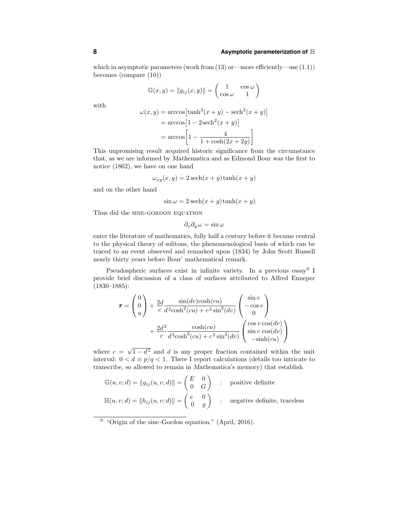### **8 Asymptotic parameterization of** H

which in asymptotic parameters (work from (13) or—more efficiently—use (1.1)) becomes (compare (10))

$$
\mathbb{G}(x,y) = \|g_{ij}(x,y)\| = \begin{pmatrix} 1 & \cos \omega \\ \cos \omega & 1 \end{pmatrix}
$$

with

$$
\omega(x, y) = \arccos\left[\tanh^2(x + y) - \mathrm{sech}^2(x + y)\right]
$$

$$
= \arccos\left[1 - 2\mathrm{sech}^2(x + y)\right]
$$

$$
= \arccos\left[1 - \frac{4}{1 + \cosh(2x + 2y)}\right]
$$

This unpromising result acquired historic significance from the circumstance that, as we are informed by Mathematica and as Edmond Bour was the first to notice (1862), we have on one hand

$$
\omega_{xy}(x,y) = 2\operatorname{sech}(x+y)\tanh(x+y)
$$

and on the other hand

$$
\sin \omega = 2 \operatorname{sech}(x + y) \tanh(x + y)
$$

Thus did the SINE-GORDON EQUATION

$$
\partial_x \partial_y \omega = \sin \omega
$$

enter the literature of mathematics, fully half a century before it became central to the physical theory of solitons, the phenomenological basis of which can be traced to an event observed and remarked upon (1834) by John Scott Russell nearly thirty years before Bour' mathematical remark.

Pseudospheric surfaces exist in infinite variety. In a previous essay<sup>9</sup> I provide brief discussion of a class of surfaces attributed to Alfred Enneper (1830–1885):

$$
\mathbf{r} = \begin{pmatrix} 0 \\ 0 \\ u \end{pmatrix} + \frac{2d}{c} \frac{\sin(dv)\cosh(cu)}{d^2 \cosh^2(cu) + c^2 \sin^2(dv)} \begin{pmatrix} \sin v \\ -\cos v \\ 0 \end{pmatrix}
$$

$$
+ \frac{2d^2}{c} \frac{\cosh(cu)}{d^2 \cosh^2(cu) + c^2 \sin^2(dv)} \begin{pmatrix} \cos v \cos(dv) \\ \sin v \cos(dv) \\ -\sinh(cu) \end{pmatrix}
$$

where  $c = \sqrt{1 - d^2}$  and d is any proper fraction contained within the unit interval:  $0 < d \equiv p/q < 1$ . There I report calculations (details too intricate to transcribe, so allowed to remain in Mathematica's memory) that establish

$$
\mathbb{G}(u, v; d) = ||g_{ij}(u, v; d)|| = \begin{pmatrix} E & 0 \\ 0 & G \end{pmatrix}
$$
: positive definite  

$$
\mathbb{H}(u, v; d) = ||h_{ij}(u, v; d)|| = \begin{pmatrix} e & 0 \\ 0 & g \end{pmatrix}
$$
: negative definite, traceless

 $9$  "Origin of the sine-Gordon equation," (April, 2016).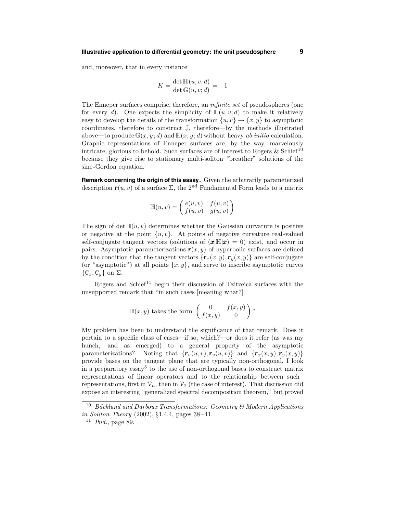and, moreover, that in every instance

$$
K = \frac{\det \mathbb{H}(u, v; d)}{\det \mathbb{G}(u, v; d)} = -1
$$

The Enneper surfaces comprise, therefore, an infinite set of pseudospheres (one for every d). One expects the simplicity of  $\mathbb{H}(u, v; d)$  to make it relatively easy to develop the details of the transformation  $\{u, v\} \rightarrow \{x, y\}$  to asymptotic coordinates, therefore to construct J, therefore—by the methods illustrated above—to produce  $\mathbb{G}(x, y; d)$  and  $\mathbb{H}(x, y; d)$  without heavy ab initio calculation. Graphic representations of Enneper surfaces are, by the way, marvelously intricate, glorious to behold. Such surfaces are of interest to Rogers & Schief<sup>10</sup> because they give rise to stationary multi-soliton "breather" solutions of the sine-Gordon equation.

**Remark concerning the origin of this essay.** Given the arbitrarily parameterized description  $r(u, v)$  of a surface  $\Sigma$ , the 2<sup>nd</sup> Fundamental Form leads to a matrix

$$
\mathbb{H}(u,v) = \begin{pmatrix} e(u,v) & f(u,v) \\ f(u,v) & g(u,v) \end{pmatrix}
$$

The sign of det  $\mathbb{H}(u, v)$  determines whether the Gaussian curvature is positive or negative at the point  $\{u, v\}$ . At points of negative curvature real-valued self-conjugate tangent vectors (solutions of  $(\mathbf{x}|\mathbb{H}|\mathbf{x}) = 0$ ) exist, and occur in pairs. Asymptotic parameterizations  $r(x, y)$  of hyperbolic surfaces are defined by the condition that the tangent vectors  $\{r_x(x, y), r_y(x, y)\}\)$  are self-conjugate (or "asymptotic") at all points  $\{x, y\}$ , and serve to inscribe asymptotic curves  $\{\mathcal{C}_x, \mathcal{C}_y\}$  on  $\Sigma$ .

Rogers and Schief<sup>11</sup> begin their discussion of Tzitzeica surfaces with the unsupported remark that "in such cases [meaning what?]

$$
\mathbb{H}(x,y) \text{ takes the form } \begin{pmatrix} 0 & f(x,y) \\ f(x,y) & 0 \end{pmatrix},
$$

My problem has been to understand the significance of that remark. Does it pertain to a specific class of cases—if so, which?—or does it refer (as was my hunch, and as emerged) to a general property of the asymptotic parameterizations? Noting that  ${r_u(u, v), r_v(u, v)}$  and  ${r_x(x, y), r_u(x, y)}$ provide bases on the tangent plane that are typically non-orthogonal, I look in a preparatory  $\operatorname{essay}^5$  to the use of non-orthogonal bases to construct matrix representations of linear operators and to the relationship between such representations, first in  $\mathcal{V}_n$ , then in  $\mathcal{V}_2$  (the case of interest). That discussion did expose an interesting "generalized spectral decomposition theorem," but proved

 $10$  Bäcklund and Darboux Transformations: Geometry & Modern Applications in Soliton Theory (2002), §1.4.4, pages 38–41.

 $11$  *Ibid.*, page 89.